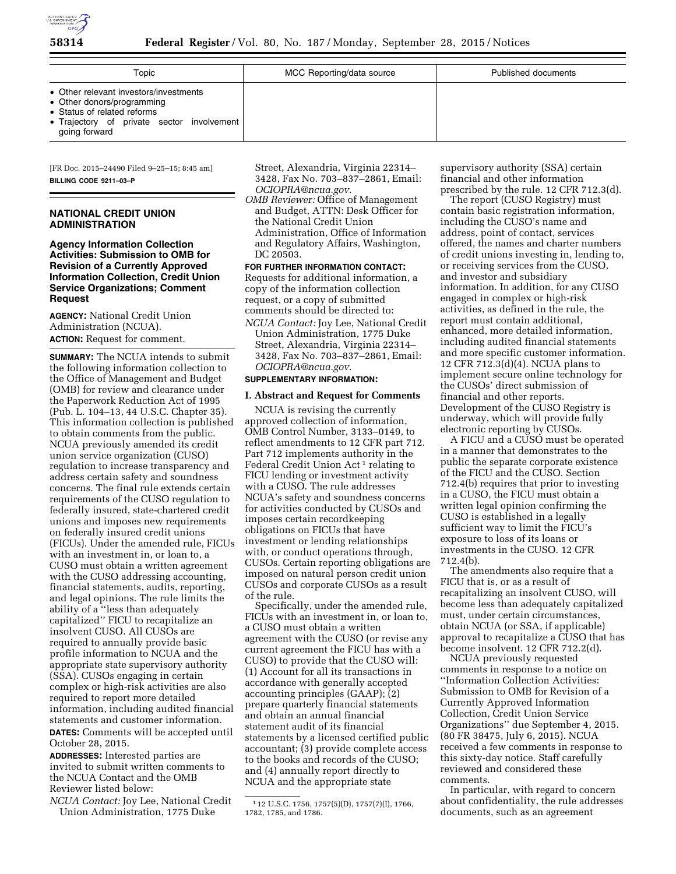

| Topic                                                                                                                                                              | MCC Reporting/data source | Published documents |
|--------------------------------------------------------------------------------------------------------------------------------------------------------------------|---------------------------|---------------------|
| • Other relevant investors/investments<br>• Other donors/programming<br>• Status of related reforms<br>• Trajectory of private sector involvement<br>going forward |                           |                     |

[FR Doc. 2015–24490 Filed 9–25–15; 8:45 am] **BILLING CODE 9211–03–P** 

# **NATIONAL CREDIT UNION ADMINISTRATION**

## **Agency Information Collection Activities: Submission to OMB for Revision of a Currently Approved Information Collection, Credit Union Service Organizations; Comment Request**

**AGENCY:** National Credit Union Administration (NCUA).

**ACTION:** Request for comment.

**SUMMARY:** The NCUA intends to submit the following information collection to the Office of Management and Budget (OMB) for review and clearance under the Paperwork Reduction Act of 1995 (Pub. L. 104–13, 44 U.S.C. Chapter 35). This information collection is published to obtain comments from the public. NCUA previously amended its credit union service organization (CUSO) regulation to increase transparency and address certain safety and soundness concerns. The final rule extends certain requirements of the CUSO regulation to federally insured, state-chartered credit unions and imposes new requirements on federally insured credit unions (FICUs). Under the amended rule, FICUs with an investment in, or loan to, a CUSO must obtain a written agreement with the CUSO addressing accounting, financial statements, audits, reporting, and legal opinions. The rule limits the ability of a ''less than adequately capitalized'' FICU to recapitalize an insolvent CUSO. All CUSOs are required to annually provide basic profile information to NCUA and the appropriate state supervisory authority (SSA). CUSOs engaging in certain complex or high-risk activities are also required to report more detailed information, including audited financial statements and customer information. **DATES:** Comments will be accepted until October 28, 2015.

**ADDRESSES:** Interested parties are invited to submit written comments to the NCUA Contact and the OMB Reviewer listed below:

*NCUA Contact:* Joy Lee, National Credit Union Administration, 1775 Duke

Street, Alexandria, Virginia 22314– 3428, Fax No. 703–837–2861, Email: *[OCIOPRA@ncua.gov.](mailto:OCIOPRA@ncua.gov)* 

*OMB Reviewer:* Office of Management and Budget, ATTN: Desk Officer for the National Credit Union Administration, Office of Information and Regulatory Affairs, Washington, DC 20503.

**FOR FURTHER INFORMATION CONTACT:**  Requests for additional information, a copy of the information collection request, or a copy of submitted comments should be directed to:

*NCUA Contact:* Joy Lee, National Credit Union Administration, 1775 Duke Street, Alexandria, Virginia 22314– 3428, Fax No. 703–837–2861, Email: *[OCIOPRA@ncua.gov.](mailto:OCIOPRA@ncua.gov)* 

### **SUPPLEMENTARY INFORMATION:**

### **I. Abstract and Request for Comments**

NCUA is revising the currently approved collection of information, OMB Control Number, 3133–0149, to reflect amendments to 12 CFR part 712. Part 712 implements authority in the Federal Credit Union Act<sup>1</sup> relating to FICU lending or investment activity with a CUSO. The rule addresses NCUA's safety and soundness concerns for activities conducted by CUSOs and imposes certain recordkeeping obligations on FICUs that have investment or lending relationships with, or conduct operations through, CUSOs. Certain reporting obligations are imposed on natural person credit union CUSOs and corporate CUSOs as a result of the rule.

Specifically, under the amended rule, FICUs with an investment in, or loan to, a CUSO must obtain a written agreement with the CUSO (or revise any current agreement the FICU has with a CUSO) to provide that the CUSO will: (1) Account for all its transactions in accordance with generally accepted accounting principles (GAAP); (2) prepare quarterly financial statements and obtain an annual financial statement audit of its financial statements by a licensed certified public accountant; (3) provide complete access to the books and records of the CUSO; and (4) annually report directly to NCUA and the appropriate state

supervisory authority (SSA) certain financial and other information prescribed by the rule. 12 CFR 712.3(d).

The report (CUSO Registry) must contain basic registration information, including the CUSO's name and address, point of contact, services offered, the names and charter numbers of credit unions investing in, lending to, or receiving services from the CUSO, and investor and subsidiary information. In addition, for any CUSO engaged in complex or high-risk activities, as defined in the rule, the report must contain additional, enhanced, more detailed information, including audited financial statements and more specific customer information. 12 CFR 712.3(d)(4). NCUA plans to implement secure online technology for the CUSOs' direct submission of financial and other reports. Development of the CUSO Registry is underway, which will provide fully electronic reporting by CUSOs.

A FICU and a CUSO must be operated in a manner that demonstrates to the public the separate corporate existence of the FICU and the CUSO. Section 712.4(b) requires that prior to investing in a CUSO, the FICU must obtain a written legal opinion confirming the CUSO is established in a legally sufficient way to limit the FICU's exposure to loss of its loans or investments in the CUSO. 12 CFR 712.4(b).

The amendments also require that a FICU that is, or as a result of recapitalizing an insolvent CUSO, will become less than adequately capitalized must, under certain circumstances, obtain NCUA (or SSA, if applicable) approval to recapitalize a CUSO that has become insolvent. 12 CFR 712.2(d).

NCUA previously requested comments in response to a notice on ''Information Collection Activities: Submission to OMB for Revision of a Currently Approved Information Collection, Credit Union Service Organizations'' due September 4, 2015. (80 FR 38475, July 6, 2015). NCUA received a few comments in response to this sixty-day notice. Staff carefully reviewed and considered these comments.

In particular, with regard to concern about confidentiality, the rule addresses documents, such as an agreement

<sup>1</sup> 12 U.S.C. 1756, 1757(5)(D), 1757(7)(I), 1766, 1782, 1785, and 1786.